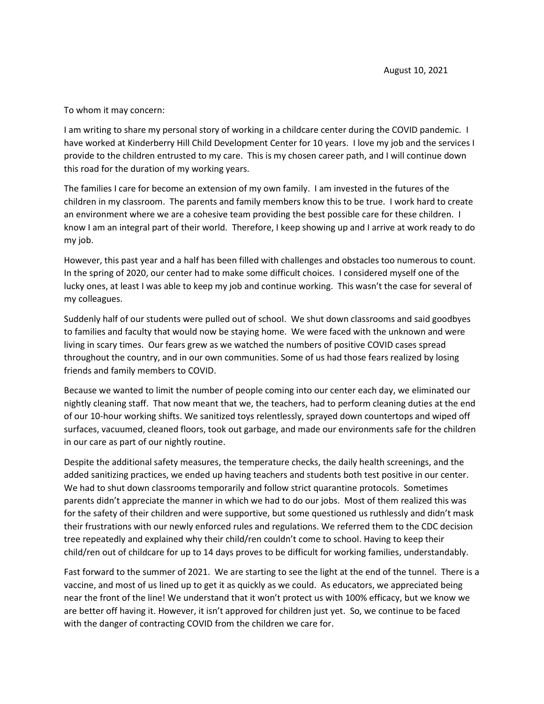## To whom it may concern:

I am writing to share my personal story of working in a childcare center during the COVID pandemic. I have worked at Kinderberry Hill Child Development Center for 10 years. I love my job and the services I provide to the children entrusted to my care. This is my chosen career path, and I will continue down this road for the duration of my working years.

The families I care for become an extension of my own family. I am invested in the futures of the children in my classroom. The parents and family members know this to be true. I work hard to create an environment where we are a cohesive team providing the best possible care for these children. I know I am an integral part of their world. Therefore, I keep showing up and I arrive at work ready to do my job.

However, this past year and a half has been filled with challenges and obstacles too numerous to count. In the spring of 2020, our center had to make some difficult choices. I considered myself one of the lucky ones, at least I was able to keep my job and continue working. This wasn't the case for several of my colleagues.

Suddenly half of our students were pulled out of school. We shut down classrooms and said goodbyes to families and faculty that would now be staying home. We were faced with the unknown and were living in scary times. Our fears grew as we watched the numbers of positive COVID cases spread throughout the country, and in our own communities. Some of us had those fears realized by losing friends and family members to COVID.

Because we wanted to limit the number of people coming into our center each day, we eliminated our nightly cleaning staff. That now meant that we, the teachers, had to perform cleaning duties at the end of our 10-hour working shifts. We sanitized toys relentlessly, sprayed down countertops and wiped off surfaces, vacuumed, cleaned floors, took out garbage, and made our environments safe for the children in our care as part of our nightly routine.

Despite the additional safety measures, the temperature checks, the daily health screenings, and the added sanitizing practices, we ended up having teachers and students both test positive in our center. We had to shut down classrooms temporarily and follow strict quarantine protocols. Sometimes parents didn't appreciate the manner in which we had to do our jobs. Most of them realized this was for the safety of their children and were supportive, but some questioned us ruthlessly and didn't mask their frustrations with our newly enforced rules and regulations. We referred them to the CDC decision tree repeatedly and explained why their child/ren couldn't come to school. Having to keep their child/ren out of childcare for up to 14 days proves to be difficult for working families, understandably.

Fast forward to the summer of 2021. We are starting to see the light at the end of the tunnel. There is a vaccine, and most of us lined up to get it as quickly as we could. As educators, we appreciated being near the front of the line! We understand that it won't protect us with 100% efficacy, but we know we are better off having it. However, it isn't approved for children just yet. So, we continue to be faced with the danger of contracting COVID from the children we care for.